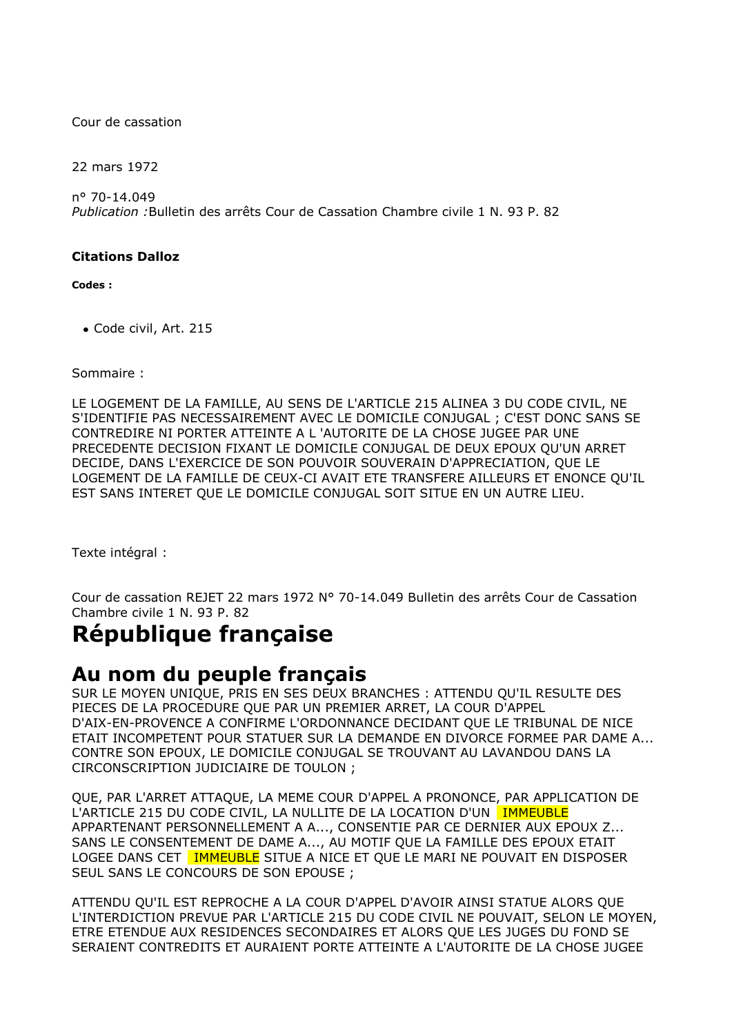Cour de cassation

22 mars 1972

n° 70-14.049 *Publication :*Bulletin des arrêts Cour de Cassation Chambre civile 1 N. 93 P. 82

## **Citations Dalloz**

**Codes :**

Code civil, Art. 215

Sommaire :

LE LOGEMENT DE LA FAMILLE, AU SENS DE L'ARTICLE 215 ALINEA 3 DU CODE CIVIL, NE S'IDENTIFIE PAS NECESSAIREMENT AVEC LE DOMICILE CONJUGAL ; C'EST DONC SANS SE CONTREDIRE NI PORTER ATTEINTE A L 'AUTORITE DE LA CHOSE JUGEE PAR UNE PRECEDENTE DECISION FIXANT LE DOMICILE CONJUGAL DE DEUX EPOUX QU'UN ARRET DECIDE, DANS L'EXERCICE DE SON POUVOIR SOUVERAIN D'APPRECIATION, QUE LE LOGEMENT DE LA FAMILLE DE CEUX-CI AVAIT ETE TRANSFERE AILLEURS ET ENONCE QU'IL EST SANS INTERET QUE LE DOMICILE CONJUGAL SOIT SITUE EN UN AUTRE LIEU.

Texte intégral :

Cour de cassation REJET 22 mars 1972 N° 70-14.049 Bulletin des arrêts Cour de Cassation Chambre civile 1 N. 93 P. 82

## **République française**

## **Au nom du peuple français**

SUR LE MOYEN UNIQUE, PRIS EN SES DEUX BRANCHES : ATTENDU QU'IL RESULTE DES PIECES DE LA PROCEDURE QUE PAR UN PREMIER ARRET, LA COUR D'APPEL D'AIX-EN-PROVENCE A CONFIRME L'ORDONNANCE DECIDANT QUE LE TRIBUNAL DE NICE ETAIT INCOMPETENT POUR STATUER SUR LA DEMANDE EN DIVORCE FORMEE PAR DAME A... CONTRE SON EPOUX, LE DOMICILE CONJUGAL SE TROUVANT AU LAVANDOU DANS LA CIRCONSCRIPTION JUDICIAIRE DE TOULON ;

QUE, PAR L'ARRET ATTAQUE, LA MEME COUR D'APPEL A PRONONCE, PAR APPLICATION DE L'ARTICLE 215 DU CODE CIVIL, LA NULLITE DE LA LOCATION D'UN IMMEUBLE APPARTENANT PERSONNELLEMENT A A..., CONSENTIE PAR CE DERNIER AUX EPOUX Z... SANS LE CONSENTEMENT DE DAME A..., AU MOTIF QUE LA FAMILLE DES EPOUX ETAIT LOGEE DANS CET **IMMEUBLE** SITUE A NICE ET QUE LE MARI NE POUVAIT EN DISPOSER SEUL SANS LE CONCOURS DE SON EPOUSE ;

ATTENDU QU'IL EST REPROCHE A LA COUR D'APPEL D'AVOIR AINSI STATUE ALORS QUE L'INTERDICTION PREVUE PAR L'ARTICLE 215 DU CODE CIVIL NE POUVAIT, SELON LE MOYEN, ETRE ETENDUE AUX RESIDENCES SECONDAIRES ET ALORS QUE LES JUGES DU FOND SE SERAIENT CONTREDITS ET AURAIENT PORTE ATTEINTE A L'AUTORITE DE LA CHOSE JUGEE